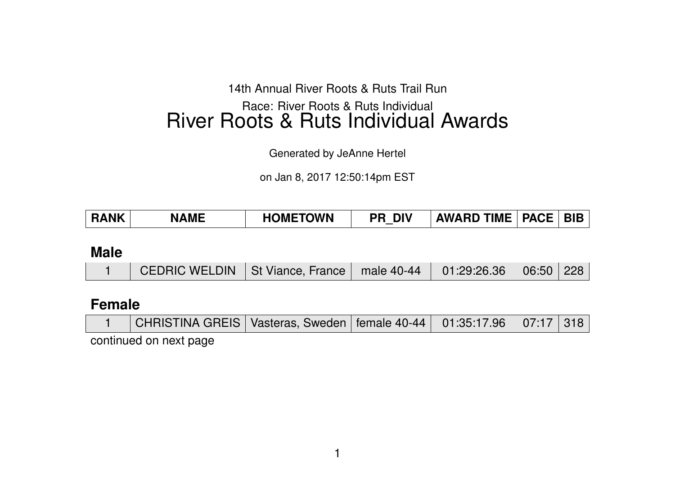14th Annual River Roots & Ruts Trail Run

# Race: River Roots & Ruts Individual River Roots & Ruts Individual Awards

Generated by JeAnne Hertel

on Jan 8, 2017 12:50:14pm EST

| <b>HOMETOWN</b><br>RANK<br><b>DIV</b><br><b>NAME</b><br>PR | <b>PACE</b><br><b>BIB</b><br><b>AWARD TIME</b> |
|------------------------------------------------------------|------------------------------------------------|
|------------------------------------------------------------|------------------------------------------------|

**Male**

|  | <b>CEDRIC WELDIN</b> St Viance, France $\vert$ male 40-44 $\vert$ 01:29:26.36 $\vert$ 06:50 228 |  |  |  |  |  |
|--|-------------------------------------------------------------------------------------------------|--|--|--|--|--|
|--|-------------------------------------------------------------------------------------------------|--|--|--|--|--|

## **Female**

| CHRISTINA GREIS   Vasteras, Sweden   female 40-44   01:35:17.96   07:17   318 |  |  |  |
|-------------------------------------------------------------------------------|--|--|--|
|                                                                               |  |  |  |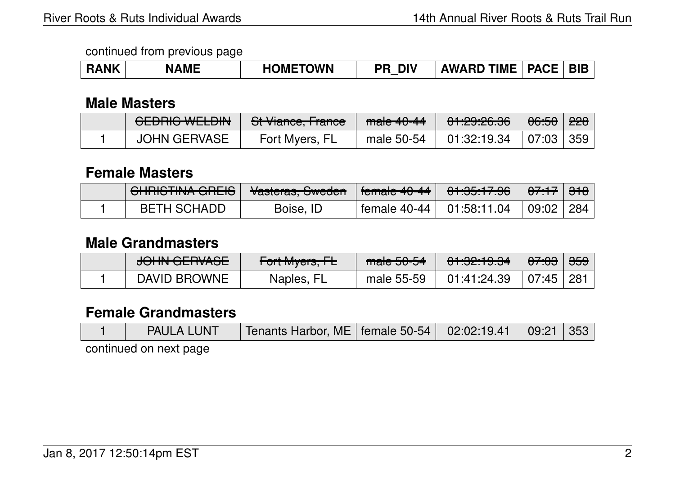| <b>ANK</b><br>$\blacksquare$ | <b>AME</b> | <b>HOMETOWN</b> | <b>DIV</b><br>DI | <b>IME</b><br><b>AWARD</b> | <b>PACF</b><br>лUГ | BIB |
|------------------------------|------------|-----------------|------------------|----------------------------|--------------------|-----|
|------------------------------|------------|-----------------|------------------|----------------------------|--------------------|-----|

### **Male Masters**

| <b>CEDDIC WELDING</b><br><b>ULUNU WLLUN</b> | $Q_{\text{L}}$<br><u>u viance, riance</u> | $male$ 40-44 | <u>A 1.00.00 00 </u><br><u><del>UT.CJ.CU.UU</del></u> | <del>06:50</del> | <del>228</del> ∣ |
|---------------------------------------------|-------------------------------------------|--------------|-------------------------------------------------------|------------------|------------------|
| <b>JOHN GERVASE</b>                         | Fort Myers, FL                            | male 50-54   | 01:32:19.34                                           | 07:03 359        |                  |

## **Female Masters**

| <b>QUDICTINA ODEIO</b><br><u>יסחוווס הווזה שוובוס</u> | <i>Masterna</i> Curador<br><u>Vasicias, Owcuch</u> | $f_{\alpha}$ and $f_{\alpha}$ $f_{\alpha}$ $f_{\alpha}$<br>। उतानता <del>ड ५० ५१  </del> | <del>01:35:17.96</del> | <del>07:17</del>   <del>318</del> |  |
|-------------------------------------------------------|----------------------------------------------------|------------------------------------------------------------------------------------------|------------------------|-----------------------------------|--|
| BETH SCHADD                                           | Boise, ID                                          | female $40-44$   01:58:11.04                                                             |                        | 09:02   284                       |  |

## **Male Grandmasters**

| <del>JUNIN ULINAJE</del> | $\Gamma$ <sub>o</sub> $\downarrow$ $\Lambda$ $\sim$ $\sim$ $\Gamma$<br>TUITIVIYUIS, TE | angle EACAL<br><del>maic Ju-J+</del> | ᠸ᠇ <del>᠃ᡂ</del> | <del>07:03</del> | <del>359</del> |
|--------------------------|----------------------------------------------------------------------------------------|--------------------------------------|------------------|------------------|----------------|
| <b>DAVID BROWNE</b>      | Naples, FL                                                                             | male 55-59                           | 01:41:24.39      | 07:45            | ⊢281           |

## **Female Grandmasters**

| <b>PAULA LUNT</b> | <b>Tenants Harbor, ME</b>   female 50-54   02:02:19.41   09:21   353 |  |  |
|-------------------|----------------------------------------------------------------------|--|--|
|                   |                                                                      |  |  |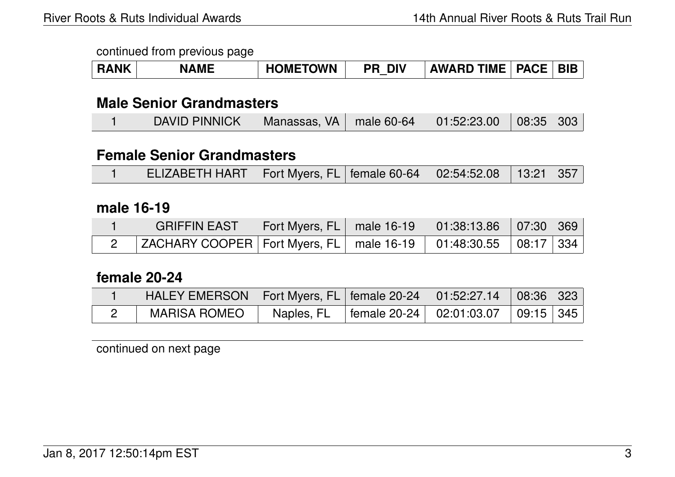| <b>RANK</b> | <b>NAME</b> | <b>HOMETOWN</b> | <b>PR DIV</b> | <b>AWARD TIME   PACE   BIB</b> |  |
|-------------|-------------|-----------------|---------------|--------------------------------|--|
|             |             |                 |               |                                |  |

### **Male Senior Grandmasters**

|  | DAVID PINNICK   Manassas, VA   male 60-64   01:52:23.00   08:35   303 |  |  |  |  |  |
|--|-----------------------------------------------------------------------|--|--|--|--|--|
|--|-----------------------------------------------------------------------|--|--|--|--|--|

### **Female Senior Grandmasters**

|  | ELIZABETH HART   Fort Myers, FL   female 60-64   02:54:52.08   13:21   357 |  |  |  |  |  |
|--|----------------------------------------------------------------------------|--|--|--|--|--|
|--|----------------------------------------------------------------------------|--|--|--|--|--|

### **male 16-19**

| <b>GRIFFIN EAST</b>                                                      | Fort Myers, FL   male 16-19   01:38:13.86   07:30   369 |  |  |
|--------------------------------------------------------------------------|---------------------------------------------------------|--|--|
| ZACHARY COOPER   Fort Myers, FL   male 16-19   01:48:30.55   08:17   334 |                                                         |  |  |

### **female 20-24**

| HALEY EMERSON   Fort Myers, FL   female 20-24   01:52:27.14   08:36   323 |  |                                                       |  |
|---------------------------------------------------------------------------|--|-------------------------------------------------------|--|
| <b>MARISA ROMEO</b>                                                       |  | Naples, FL   female 20-24   02:01:03.07   09:15   345 |  |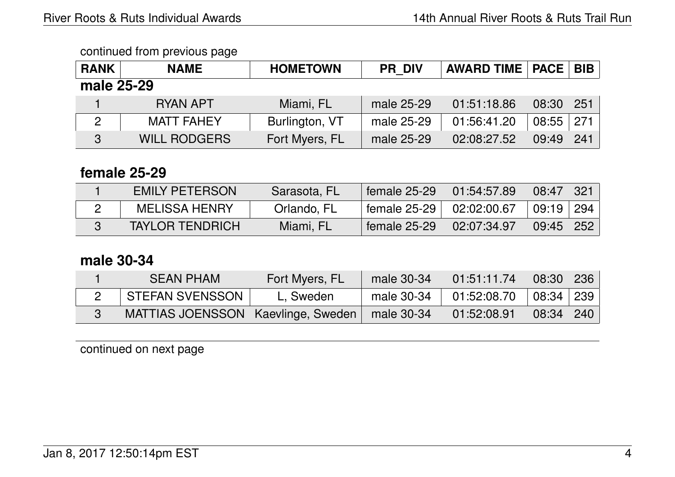| <b>RANK</b> | <b>NAME</b>         | <b>HOMETOWN</b> | <b>PR DIV</b> | <b>AWARD TIME   PACE  </b> |       | <b>BIB</b> |  |  |
|-------------|---------------------|-----------------|---------------|----------------------------|-------|------------|--|--|
| male 25-29  |                     |                 |               |                            |       |            |  |  |
|             | <b>RYAN APT</b>     | Miami, FL       | male 25-29    | 01:51:18.86                | 08:30 | 251        |  |  |
| 2           | <b>MATT FAHEY</b>   | Burlington, VT  | male 25-29    | 01:56:41.20                | 08:55 | 271        |  |  |
| 3           | <b>WILL RODGERS</b> | Fort Myers, FL  | male 25-29    | 02:08:27.52                | 09:49 | 241        |  |  |

## **female 25-29**

| <b>EMILY PETERSON</b>  | Sarasota, FL | female $25-29$ | 01:54:57.89 | 08:47         | -321 |
|------------------------|--------------|----------------|-------------|---------------|------|
| <b>MELISSA HENRY</b>   | Orlando, FL  | female 25-29   | 02:02:00.67 | 09:19   294   |      |
| <b>TAYLOR TENDRICH</b> | Miami, FL    | female 25-29   | 02:07:34.97 | $09:45$   252 |      |

# **male 30-34**

| <b>SEAN PHAM</b>                     | Fort Myers, FL | male 30-34 | 01:51:11.74 | 08:30   236   |  |
|--------------------------------------|----------------|------------|-------------|---------------|--|
| <b>STEFAN SVENSSON</b>               | L, Sweden      | male 30-34 | 01:52:08.70 | 08:34   239   |  |
| MATTIAS JOENSSON   Kaevlinge, Sweden |                | male 30-34 | 01:52:08.91 | $08:34$   240 |  |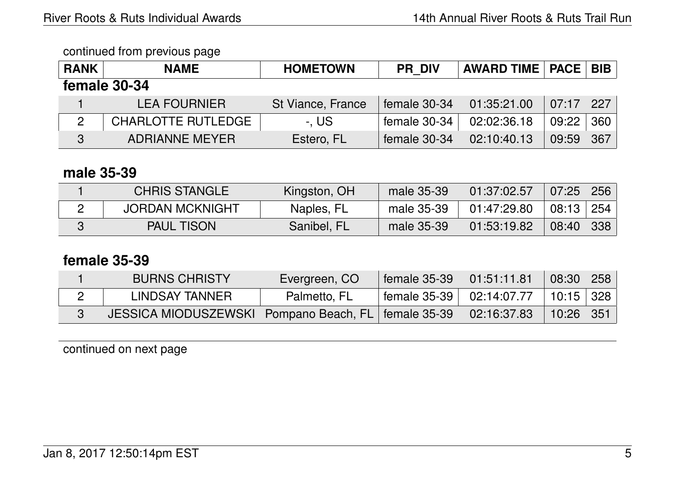| <b>RANK</b>  | <b>NAME</b>               | <b>HOMETOWN</b>   | <b>PR DIV</b> | <b>AWARD TIME   PACE   BIB  </b> |               |     |  |  |
|--------------|---------------------------|-------------------|---------------|----------------------------------|---------------|-----|--|--|
| female 30-34 |                           |                   |               |                                  |               |     |  |  |
|              | <b>LEA FOURNIER</b>       | St Viance, France | female 30-34  | 01:35:21.00                      | $07:17$   227 |     |  |  |
| 2            | <b>CHARLOTTE RUTLEDGE</b> | -. US             | female 30-34  | 02:02:36.18                      | 09:22         | 360 |  |  |
| 3            | <b>ADRIANNE MEYER</b>     | Estero, FL        | female 30-34  | 02:10:40.13                      | 09:59         | 367 |  |  |

### **male 35-39**

| <b>CHRIS STANGLE</b>   | Kingston, OH | male 35-39 | 01:37:02.57 | $\mid$ 07:25 $\mid$ 256 $\mid$ |     |
|------------------------|--------------|------------|-------------|--------------------------------|-----|
| <b>JORDAN MCKNIGHT</b> | Naples, FL   | male 35-39 | 01:47:29.80 | $08:13 \mid 254$               |     |
| <b>PAUL TISON</b>      | Sanibel, FL  | male 35-39 | 01:53:19.82 | $\sqrt{08:40}$ /               | 338 |

## **female 35-39**

| <b>BURNS CHRISTY</b>                                    | Evergreen, CO | female 35-39                 | 01:51:11.81 | 08:30       | $\vert$ 258 |
|---------------------------------------------------------|---------------|------------------------------|-------------|-------------|-------------|
| LINDSAY TANNER                                          | Palmetto, FL  | female 35-39 $ $ 02:14:07.77 |             | $10:15$ 328 |             |
| JESSICA MIODUSZEWSKI   Pompano Beach, FL   female 35-39 |               |                              | 02:16:37.83 | $10:26$ 351 |             |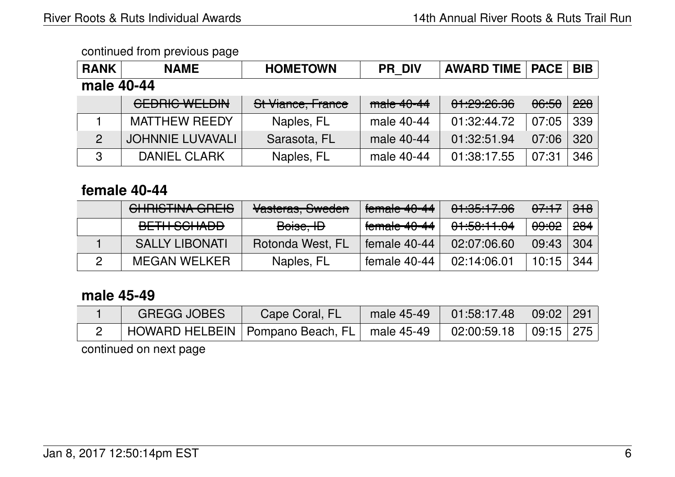| <b>RANK</b>    | <b>NAME</b>             | <b>HOMETOWN</b>   | <b>PR DIV</b> | <b>AWARD TIME</b> | <b>PACE</b> | <b>BIB</b> |  |  |
|----------------|-------------------------|-------------------|---------------|-------------------|-------------|------------|--|--|
|                |                         |                   |               |                   |             |            |  |  |
| male 40-44     |                         |                   |               |                   |             |            |  |  |
|                | <b>CEDRIC WELDIN</b>    | St Viance, France | $male 40-44$  | 01:29:26.36       | 06:50       | 228        |  |  |
|                | <b>MATTHEW REEDY</b>    | Naples, FL        | male 40-44    | 01:32:44.72       | 07:05       | 339        |  |  |
| $\overline{2}$ | <b>JOHNNIE LUVAVALI</b> | Sarasota, FL      | male 40-44    | 01:32:51.94       | 07:06       | 320        |  |  |
| 3              | <b>DANIEL CLARK</b>     | Naples, FL        | male 40-44    | 01:38:17.55       | 07:31       | 346        |  |  |

## **female 40-44**

| CHRISTINA GREIS       | Vasteras, Sweden | $f$ emale 40-44 | 01:35:17.96 | <del>07:17</del>   <del>318</del> |                |
|-----------------------|------------------|-----------------|-------------|-----------------------------------|----------------|
| BETH SCHADD           | Boise, ID        | female 40-44    | 01:58:11.04 | <del>09:02</del>                  | <del>284</del> |
| <b>SALLY LIBONATI</b> | Rotonda West, FL | female 40-44    | 02:07:06.60 | 09:43                             | 304            |
| <b>MEGAN WELKER</b>   | Naples, FL       | female 40-44    | 02:14:06.01 | $10:15$ 344                       |                |

## **male 45-49**

| <b>GREGG JOBES</b>                                                                                     | Cape Coral, FL | male $45-49$ | $01:58:17.48$ $ 09:02 291 $ |  |
|--------------------------------------------------------------------------------------------------------|----------------|--------------|-----------------------------|--|
| $^\circ$ HOWARD HELBEIN   Pompano Beach, FL $\vert$ male 45-49 $\vert$ 02:00:59.18 $\vert$ 09:15   275 |                |              |                             |  |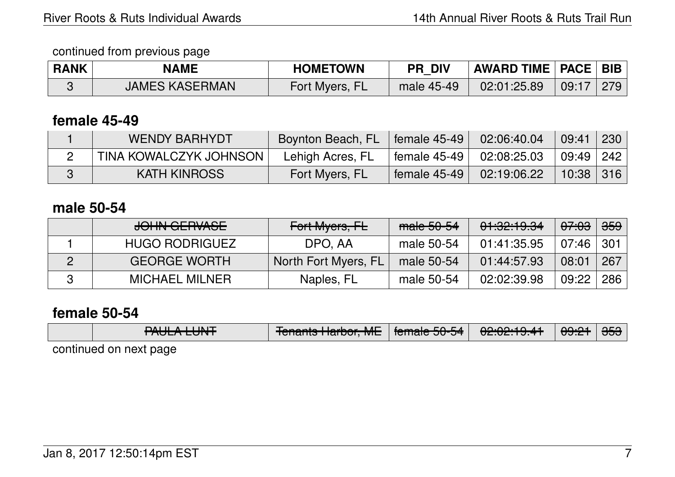| <b>RANK</b> | <b>NAME</b>           | <b>HOMETOWN</b> | DIV<br>PR  | AWARD TIME   PACE   BIB |       |     |
|-------------|-----------------------|-----------------|------------|-------------------------|-------|-----|
|             | <b>JAMES KASERMAN</b> | Fort Myers, FL  | male 45-49 | 02:01:25.89             | 09:17 | 279 |

### **female 45-49**

| <b>WENDY BARHYDT</b>   | Boynton Beach, FL | female 45-49   | 02:06:40.04 | 09:41                          | 230 |
|------------------------|-------------------|----------------|-------------|--------------------------------|-----|
| TINA KOWALCZYK JOHNSON | Lehigh Acres, FL  | female $45-49$ | 02:08:25.03 | $\mid$ 09:49 $\mid$ 242 $\mid$ |     |
| KATH KINROSS           | Fort Myers, FL    | female 45-49   | 02:19:06.22 | $10:38$   316                  |     |

## **male 50-54**

| JOHN GERVASE          | Fort Myers, FL       | male 50-54 | 01:32:19.34 | <del>07:03</del> | $\frac{1}{100}$ |
|-----------------------|----------------------|------------|-------------|------------------|-----------------|
| <b>HUGO RODRIGUEZ</b> | DPO, AA              | male 50-54 | 01:41:35.95 | $07:46$   301    |                 |
| <b>GEORGE WORTH</b>   | North Fort Myers, FL | male 50-54 | 01:44:57.93 | 08:01            | 267             |
| <b>MICHAEL MILNER</b> | Naples, FL           | male 50-54 | 02:02:39.98 | 09:22            | 286             |

## **female 50-54**

|  | DAILL A LILNIT<br><b>RULA LUNT</b> | $T$ enente llevhev MF $\vert$ femele FO FA $\vert$<br><u>TUTTANIS HAIVUI, MET</u> | T <del>umale Ju-J4</del> I | 02.02.19. <del>4</del> 1 | <del>09:21</del> ∣ <del>353</del> |  |
|--|------------------------------------|-----------------------------------------------------------------------------------|----------------------------|--------------------------|-----------------------------------|--|
|  |                                    |                                                                                   |                            |                          |                                   |  |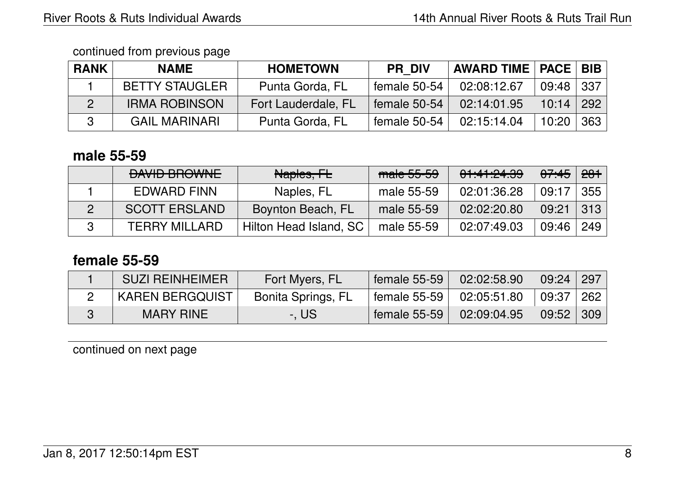| <b>RANK</b> | <b>NAME</b>           | <b>HOMETOWN</b>            | <b>PR DIV</b> | <b>AWARD TIME   PACE   BIB  </b> |             |                |
|-------------|-----------------------|----------------------------|---------------|----------------------------------|-------------|----------------|
|             | <b>BETTY STAUGLER</b> | Punta Gorda, FL            | female 50-54  | 02:08:12.67                      | $09:48$ 337 |                |
|             | <b>IRMA ROBINSON</b>  | <b>Fort Lauderdale, FL</b> | female 50-54  | 02:14:01.95                      | 10:14       | $^{\circ}$ 292 |
|             | <b>GAIL MARINARI</b>  | Punta Gorda, FL            | female 50-54  | 02:15:14.04                      | 10:20       | 363            |

### **male 55-59**

| <b>DAVID BROWNE</b>  | Naples, FL             | male 55-59 | 01:41:24.39 | <del>07:45</del> | <del>281</del> |
|----------------------|------------------------|------------|-------------|------------------|----------------|
| EDWARD FINN          | Naples, FL             | male 55-59 | 02:01:36.28 | 09:17            | 355            |
| <b>SCOTT ERSLAND</b> | Boynton Beach, FL      | male 55-59 | 02:02:20.80 | 09:21            | 313            |
| <b>TERRY MILLARD</b> | Hilton Head Island, SC | male 55-59 | 02:07:49.03 | 09:46            | 249            |

# **female 55-59**

| <b>SUZI REINHEIMER</b> | Fort Myers, FL     | female 55-59 | 02:02:58.90 | 09:24    | 297               |
|------------------------|--------------------|--------------|-------------|----------|-------------------|
| KAREN BERGQUIST        | Bonita Springs, FL | female 55-59 | 02:05:51.80 | $+09:37$ | $\mid$ 262 $\mid$ |
| <b>MARY RINE</b>       | -. US              | female 55-59 | 02:09:04.95 | 09:52    | $ 309\rangle$     |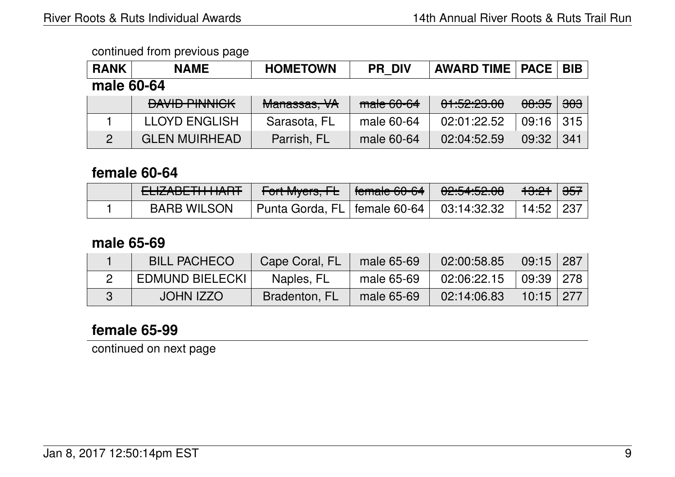| <b>RANK</b> | <b>NAME</b>          | <b>HOMETOWN</b> | <b>PR DIV</b> | <b>AWARD TIME   PACE  </b> |                  | <b>BIB</b> |  |  |
|-------------|----------------------|-----------------|---------------|----------------------------|------------------|------------|--|--|
| male 60-64  |                      |                 |               |                            |                  |            |  |  |
|             | <b>DAVID PINNICK</b> | Manassas, VA    | $make 60-64$  | 01:52:23.00                | <del>08:35</del> | $303$      |  |  |
|             | <b>LLOYD ENGLISH</b> | Sarasota, FL    | male 60-64    | 02:01:22.52                | 09:16            | 315        |  |  |
|             | <b>GLEN MUIRHEAD</b> | Parrish, FL     | male 60-64    | 02:04:52.59                | 09:32            | 341        |  |  |

### **female 60-64**

| ELIZADE ITI ITALIT. | <b>Fort Myers, FL</b> Female 60-64                     | 0.0515000<br><del>, סב.טיז.טב.טס</del> | <del>13:21</del> ∣ <del>357</del> ∣ |  |
|---------------------|--------------------------------------------------------|----------------------------------------|-------------------------------------|--|
| <b>BARB WILSON</b>  | Punta Gorda, FL   female 60-64   $\,$ 03:14:32.32 $\,$ |                                        | 14:52   237                         |  |

## **male 65-69**

| <b>BILL PACHECO</b>    | Cape Coral, FL | male 65-69 | 02:00:58.85 | $09:15$   287 |  |
|------------------------|----------------|------------|-------------|---------------|--|
| <b>EDMUND BIELECKI</b> | Naples, FL     | male 65-69 | 02:06:22.15 | 09:39 278     |  |
| <b>JOHN IZZO</b>       | Bradenton, FL  | male 65-69 | 02:14:06.83 | $10:15$   277 |  |

## **female 65-99**